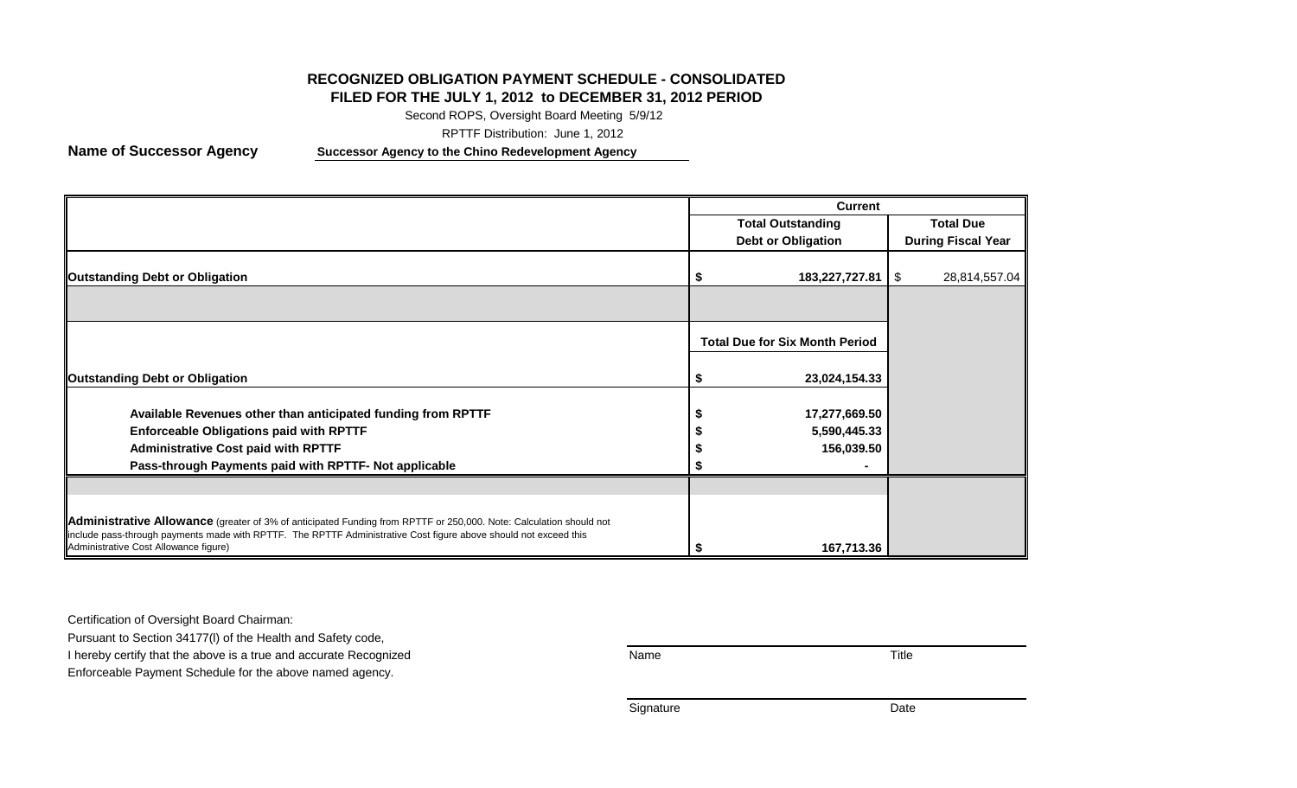# **RECOGNIZED OBLIGATION PAYMENT SCHEDULE - CONSOLIDATED**

## **FILED FOR THE JULY 1, 2012 to DECEMBER 31, 2012 PERIOD**

Second ROPS, Oversight Board Meeting 5/9/12

RPTTF Distribution: June 1, 2012

**Name of Successor Agency Successor Agency to the Chino Redevelopment Agency**

|                                                                                                                                                                                                                                                                                 | <b>Current</b>                        |                           |
|---------------------------------------------------------------------------------------------------------------------------------------------------------------------------------------------------------------------------------------------------------------------------------|---------------------------------------|---------------------------|
|                                                                                                                                                                                                                                                                                 | <b>Total Outstanding</b>              | <b>Total Due</b>          |
|                                                                                                                                                                                                                                                                                 | <b>Debt or Obligation</b>             | <b>During Fiscal Year</b> |
| <b>Outstanding Debt or Obligation</b>                                                                                                                                                                                                                                           | $183,227,727.81$   \$                 | 28,814,557.04             |
|                                                                                                                                                                                                                                                                                 |                                       |                           |
|                                                                                                                                                                                                                                                                                 | <b>Total Due for Six Month Period</b> |                           |
| <b>Outstanding Debt or Obligation</b>                                                                                                                                                                                                                                           | 23,024,154.33                         |                           |
| Available Revenues other than anticipated funding from RPTTF                                                                                                                                                                                                                    | 17,277,669.50                         |                           |
| <b>Enforceable Obligations paid with RPTTF</b>                                                                                                                                                                                                                                  | 5,590,445.33                          |                           |
| <b>Administrative Cost paid with RPTTF</b><br>Pass-through Payments paid with RPTTF- Not applicable                                                                                                                                                                             | 156,039.50                            |                           |
|                                                                                                                                                                                                                                                                                 |                                       |                           |
| Administrative Allowance (greater of 3% of anticipated Funding from RPTTF or 250,000. Note: Calculation should not<br>include pass-through payments made with RPTTF. The RPTTF Administrative Cost figure above should not exceed this<br>Administrative Cost Allowance figure) | 167,713.36                            |                           |

Certification of Oversight Board Chairman:

Pursuant to Section 34177(l) of the Health and Safety code,

I hereby certify that the above is a true and accurate Recognized **Name** Name Name Title

Enforceable Payment Schedule for the above named agency.

Signature Date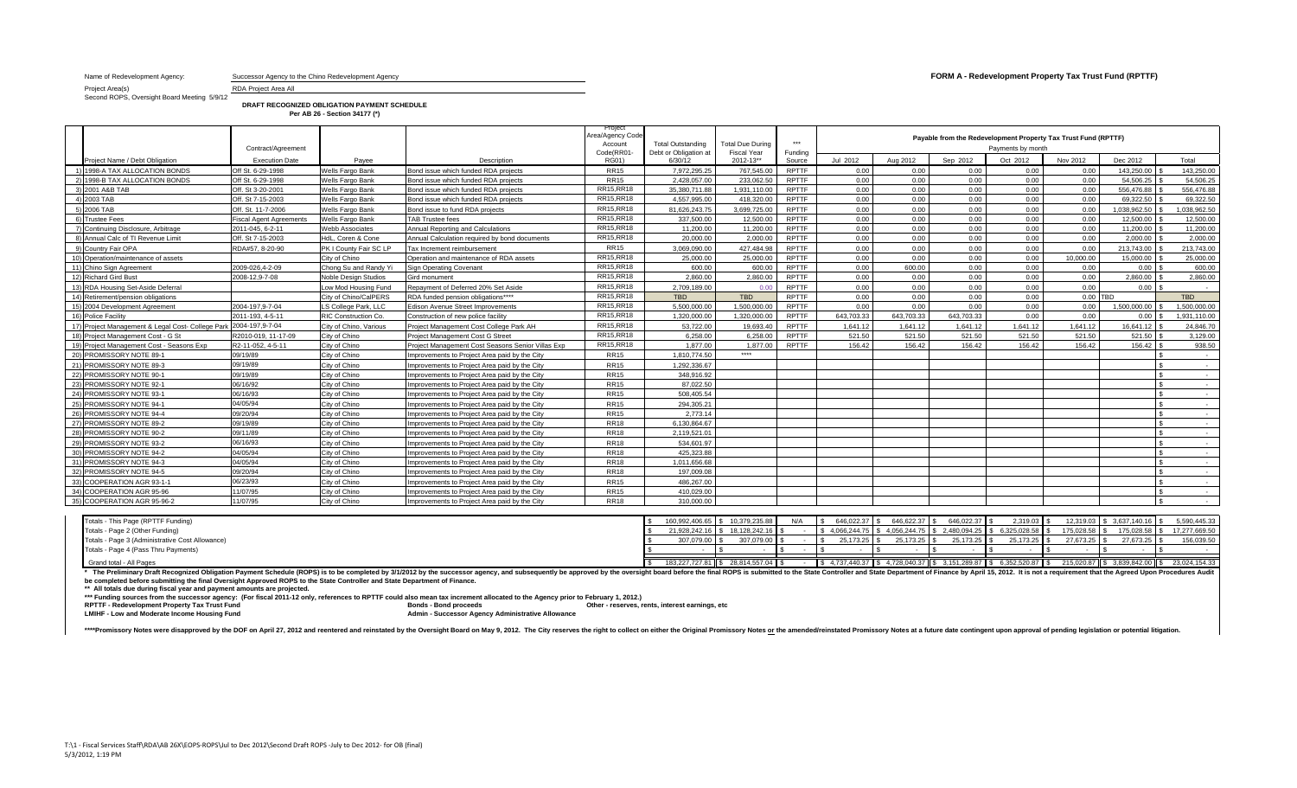Name of Redevelopment Agency: Successor Agency to the Chino Redevelopment Agency **FORM A - Redevelopment Property Tax Trust Fund (RPTTF)** 

Project Area(s) RDA Project Area All Second ROPS, Oversight Board Meeting 5/9/12

**DRAFT RECOGNIZED OBLIGATION PAYMENT SCHEDULE**

|                                |                                | Per AB 26 - Section 34177 (*) |                                      |                                                    |                                            |                                        |                             |          |                      |          |                   |                                                                |              |              |
|--------------------------------|--------------------------------|-------------------------------|--------------------------------------|----------------------------------------------------|--------------------------------------------|----------------------------------------|-----------------------------|----------|----------------------|----------|-------------------|----------------------------------------------------------------|--------------|--------------|
|                                | Contract/Agreement             |                               |                                      | Project<br>Area/Agency Code-<br>Accoun<br>Code(RRC | Total Outstanding<br>Debt or Obligation at | <b>Total Due During</b><br>Fiscal Year | ***<br>Funding              |          |                      |          | Payments by month | Payable from the Redevelopment Property Tax Trust Fund (RPTTF) |              |              |
| Project Name / Debt Obligation | <b>Execution Date</b>          | Payee                         | Description                          | RG01)                                              | 6/30/12                                    | 2012-13**                              | Source                      | Jul 2012 | Aug 2012             | Sep 2012 | Oct 2012          | Nov 2012                                                       | Dec 2012     | Total        |
| 1) 1998-A TAX ALLOCATION BONDS | Off St. 6-29-1998              | Wells Fargo Bank              | Bond issue which funded RDA projects | <b>RR15</b>                                        | 7,972,295.25                               | 767,545.00                             | <b>RPTTF</b>                | 0.00     | .00                  | 1.OO I   | 0.00              | 0.00                                                           | 143,250.00   | 143,250.00   |
| 2) 1998-B TAX ALLOCATION BONDS | Off St. 6-29-1998              | Wells Fargo Bank              | Bond issue which funded RDA projects | <b>RR15</b>                                        | 2,428,057.00                               | 233,062.50                             | <b>RPTTF</b>                | 0.00     | 0.00                 | 0.00     | 0.00              | 0.00                                                           | 54,506.25    | 54,506.25    |
| 3) 2001 A&B TAB                | Off. St 3-20-2001              | Wells Fargo Bank              | Bond issue which funded RDA projects | RR15, RR18                                         | 35.380.711.88                              | 1.931.110.00                           | <b>RPTTF</b>                | 0.00     | 0.00                 | J.00 L   | $0.00 -$          | 0.00                                                           | 556,476.88   | 556,476.88   |
| 4) 2003 TAB                    | Off. St 7-15-2003              | Wells Fargo Bank              | Bond issue which funded RDA projects | RR15, RR18                                         | 4.557.995.00                               | 418,320.00                             | <b>RPTTF</b>                |          | 0.00                 |          | 0.00              | 0.00                                                           | 69,322.50 \$ | 69,322.50    |
| 5) 2006 TAB                    | Off. St. 11-7-2006             | Wells Fargo Bank              | Bond issue to fund RDA projects      | RR15, RR18                                         | 81.626.243.75                              | 3,699,725.00                           | <b>RPTTF</b>                | 0.00     | 0.00                 |          | 0.00              | 0.00                                                           | 1,038,962.50 | 1.038.962.50 |
| 3) Trustee Fees                | <b>Fiscal Agent Agreements</b> | Wells Fargo Bank              | <b>TAB Trustee fees</b>              | RR15, RR18                                         | 337.500.00                                 | 12,500.00                              | <b>RPTTF</b>                | 0.00     | $0.00 -$             | 0.001    | 0.00              | 0.00                                                           | 12,500.00    | 12,500.00    |
| .                              | <b>AAII AIR AAII</b>           |                               |                                      | DD45 DD40                                          | 11000000                                   |                                        | $\sim$ $\sim$ $\sim$ $\sim$ |          | $\sim$ $\sim$ $\sim$ |          |                   | $\sim$ $\sim$                                                  | $\cdots$     | $\cdots$     |

| 2) 1998-B TAX ALLOCATION BONDS                                    | Off St. 6-29-1998              | Wells Fargo Bank            | Bond issue which funded RDA projects              | <b>RR15</b> | 2.428.057.00  | 233.062.50   | <b>RPTTF</b> | 0.00       | 0.00       | 0.00       | 0.00     | 0.00      | 54.506.25 \$ | 54,506.25    |
|-------------------------------------------------------------------|--------------------------------|-----------------------------|---------------------------------------------------|-------------|---------------|--------------|--------------|------------|------------|------------|----------|-----------|--------------|--------------|
| 3) 2001 A&B TAB                                                   | Off. St 3-20-2001              | Wells Fargo Bank            | Bond issue which funded RDA projects              | RR15, RR18  | 35.380.711.88 | 1.931.110.00 | <b>RPTTF</b> | 0.00       | 0.00       | 0.00       | 0.00     | 0.00      | 556,476.88   | 556.476.88   |
| 4) 2003 TAB                                                       | Off. St 7-15-2003              | Wells Fargo Bank            | Bond issue which funded RDA projects              | RR15, RR18  | 4.557.995.00  | 418.320.00   | <b>RPTTF</b> | 0.00       | 0.00       | 0.00       | 0.00     | 0.00      | 69.322.50    | 69.322.50    |
| 5) 2006 TAB                                                       | Off. St. 11-7-2006             | Wells Fargo Bank            | Bond issue to fund RDA projects                   | RR15, RR18  | 81.626.243.75 | 3.699.725.00 | <b>RPTTF</b> | 0.00       | 0.00       | 0.00       | 0.00     | 0.00      | 1.038.962.50 | 1.038.962.50 |
| 6) Trustee Fees                                                   | <b>Fiscal Agent Agreements</b> | Wells Fargo Bank            | <b>TAB Trustee fees</b>                           | RR15, RR18  | 337,500.00    | 12,500.00    | <b>RPTTF</b> | 0.00       | 0.00       | 0.00       | 0.00     | 0.00      | 12,500.00    | 12,500.00    |
| 7) Continuing Disclosure, Arbitrage                               | 2011-045, 6-2-11               | <b>Webb Associates</b>      | Annual Reporting and Calculations                 | RR15, RR18  | 11.200.00     | 11.200.00    | <b>RPTTF</b> | 0.00       | 0.00       | 0.00       | 0.00     | 0.00      | 11.200.00    | 11,200.00    |
| 8) Annual Calc of TI Revenue Limit                                | Off. St 7-15-2003              | HdL. Coren & Cone           | Annual Calculation required by bond documents     | RR15, RR18  | 20,000.00     | 2.000.00     | <b>RPTTF</b> | 0.00       | 0.00       | 0.00       | 0.00     | 0.00      | 2.000.00     | 2,000.00     |
| 9) Country Fair OPA                                               | RDA#57, 8-20-90                | PK I County Fair SC LP      | Tax Increment reimbursement                       | <b>RR15</b> | 3.069.090.00  | 427.484.98   | <b>RPTTF</b> | 0.00       | 0.00       | 0.00       | 0.00     | 0.00      | 213,743.00   | 213,743.00   |
| 10) Operation/maintenance of assets                               |                                | City of Chino               | Operation and maintenance of RDA assets           | RR15, RR18  | 25,000.00     | 25,000.00    | <b>RPTTF</b> | 0.00       | 0.00       | 0.00       | 0.00     | 10.000.00 | 15.000.00    | 25,000.00    |
| 11) Chino Sign Agreement                                          | 2009-026.4-2-09                | Chong Su and Randy Yi       | <b>Sign Operating Covenant</b>                    | RR15, RR18  | 600.00        | 600.00       | <b>RPTTF</b> | 0.00       | 600.00     | 0.00       | 0.00     | 0.00      | 0.00         | 600.00       |
| 12) Richard Gird Bust                                             | 2008-12.9-7-08                 | <b>Noble Design Studios</b> | Gird monument                                     | RR15, RR18  | 2.860.00      | 2.860.00     | <b>RPTTF</b> | 0.00       | 0.00       | 0.00       | 0.00     | 0.00      | 2.860.00     | 2,860.00     |
| RDA Housing Set-Aside Deferral                                    |                                | ow Mod Housing Fund         | Repayment of Deferred 20% Set Aside               | RR15, RR18  | 2.709.189.00  | 0.00         | <b>RPTTF</b> | 0.00       | 0.00       | 0.00       | 0.00     | 0.00      | 0.00         |              |
| 14) Retirement/pension obligations                                |                                | City of Chino/CalPERS       | RDA funded pension obligations****                | RR15, RR18  | <b>TBD</b>    | <b>TBD</b>   | <b>RPTTF</b> | 0.00       | 0.00       | 0.00       | 0.00     | 0.00 TBD  |              | <b>TBD</b>   |
| 15) 2004 Development Agreement                                    | 2004-197.9-7-04                | LS College Park, LLC        | Edison Avenue Street Improvements                 | RR15, RR18  | 5.500.000.00  | 1.500.000.00 | <b>RPTTF</b> | 0.00       | 0.00       | 0.00       | 0.00     | 0.00      | 1.500.000.00 | 1.500.000.00 |
| 16) Police Facility                                               | 2011-193. 4-5-11               | RIC Construction Co.        | Construction of new police facility               | RR15, RR18  | 1.320.000.00  | 1.320.000.00 | <b>RPTTF</b> | 643.703.33 | 643.703.33 | 643.703.33 | 0.00     | 0.00      | 0.00         | 1.931.110.00 |
| 17) Project Management & Legal Cost- College Park 2004-197.9-7-04 |                                | City of Chino, Various      | Project Management Cost College Park AH           | RR15, RR18  | 53,722.00     | 19.693.40    | <b>RPTTF</b> | 1.641.12   | 1.641.12   | 1.641.12   | 1.641.12 | 1.641.12  | 16.641.12    | 24.846.70    |
| 18) Project Management Cost - G St                                | R2010-019, 11-17-09            | City of Chino               | Project Management Cost G Street                  | RR15, RR18  | 6.258.00      | 6.258.00     | <b>RPTTF</b> | 521.50     | 521.50     | 521.50     | 521.50   | 521.50    | 521.50       | 3,129.00     |
| 19) Project Management Cost - Seasons Exp                         | R2-11-052, 4-5-11              | City of Chino               | Project Management Cost Seasons Senior Villas Exp | RR15, RR18  | 1.877.00      | 1.877.00     | <b>RPTTF</b> | 156.42     | 156.42     | 156.42     | 156.42   | 156.42    | 156.42       | 938.50       |
| 20) PROMISSORY NOTE 89-1                                          | 09/19/89                       | City of Chino               | Improvements to Project Area paid by the City     | <b>RR15</b> | 1.810.774.50  | ****         |              |            |            |            |          |           |              |              |
| 21) PROMISSORY NOTE 89-3                                          | 09/19/89                       | City of Chino               | mprovements to Project Area paid by the City      | <b>RR15</b> | 1.292.336.67  |              |              |            |            |            |          |           |              |              |
| 22) PROMISSORY NOTE 90-1                                          | 09/19/89                       | City of Chino               | nprovements to Project Area paid by the City      | <b>RR15</b> | 348.916.92    |              |              |            |            |            |          |           |              |              |
| 23) PROMISSORY NOTE 92-1                                          | 06/16/92                       | City of Chino               | mprovements to Project Area paid by the City      | <b>RR15</b> | 87.022.50     |              |              |            |            |            |          |           |              |              |
| 24) PROMISSORY NOTE 93-1                                          | 06/16/93                       | City of Chino               | mprovements to Project Area paid by the City      | <b>RR15</b> | 508.405.54    |              |              |            |            |            |          |           |              |              |
| 25) PROMISSORY NOTE 94-1                                          | 04/05/94                       | City of Chino               | mprovements to Proiect Area paid by the City      | <b>RR15</b> | 294.305.21    |              |              |            |            |            |          |           |              |              |
| 26) PROMISSORY NOTE 94-4                                          | 09/20/94                       | City of Chino               | nprovements to Proiect Area paid by the City      | <b>RR15</b> | 2.773.14      |              |              |            |            |            |          |           |              |              |
| 27) PROMISSORY NOTE 89-2                                          | 09/19/89                       | City of Chino               | nprovements to Proiect Area paid by the City      | <b>RR18</b> | 6.130.864.67  |              |              |            |            |            |          |           |              |              |
| 28) PROMISSORY NOTE 90-2                                          | 09/11/89                       | City of Chino               | mprovements to Project Area paid by the City      | <b>RR18</b> | 2.119.521.01  |              |              |            |            |            |          |           |              |              |
| 29) PROMISSORY NOTE 93-2                                          | 06/16/93                       | City of Chino               | mprovements to Project Area paid by the City      | <b>RR18</b> | 534.601.97    |              |              |            |            |            |          |           |              |              |
| 30) PROMISSORY NOTE 94-2                                          | 04/05/94                       | City of Chino               | mprovements to Project Area paid by the City      | <b>RR18</b> | 425.323.88    |              |              |            |            |            |          |           |              |              |
| 31) PROMISSORY NOTE 94-3                                          | 04/05/94                       | City of Chino               | mprovements to Proiect Area paid by the City      | <b>RR18</b> | 1.011.656.68  |              |              |            |            |            |          |           |              |              |
| 32) PROMISSORY NOTE 94-5                                          | 09/20/94                       | City of Chino               | mprovements to Proiect Area paid by the City      | <b>RR18</b> | 197.009.08    |              |              |            |            |            |          |           |              |              |
| COOPERATION AGR 93-1-1                                            | 06/23/93                       | City of Chino               | Improvements to Project Area paid by the City     | <b>RR15</b> | 486.267.00    |              |              |            |            |            |          |           |              |              |
| 34) COOPERATION AGR 95-96                                         | 11/07/95                       | City of Chino               | Improvements to Project Area paid by the City     | <b>RR15</b> | 410.029.00    |              |              |            |            |            |          |           |              |              |
| 35) COOPERATION AGR 95-96-2                                       | 11/07/95                       | City of Chino               | Improvements to Project Area paid by the City     | <b>RR18</b> | 310,000.00    |              |              |            |            |            |          |           |              |              |

| Totals - This Page (RPTTF Funding)              | 160.992.406.65 \$ 10.379.235.88 |                 |  | $$646,022.37$ \ \ \$ | 646.622.37 \$ | 646.022.37 \$ | $2.319.03$ \$                                                                                                             |               | 12.319.03 \$3.637.140.16 \$ | 5.590.445.33                                                                                                   |
|-------------------------------------------------|---------------------------------|-----------------|--|----------------------|---------------|---------------|---------------------------------------------------------------------------------------------------------------------------|---------------|-----------------------------|----------------------------------------------------------------------------------------------------------------|
| Totals - Page 2 (Other Funding)                 | 21,928,242.16 \$ 18,128,242.1   |                 |  |                      |               |               | $\frac{1}{3}$ 4,066,244.75 $\frac{1}{3}$ 4,056,244.75 $\frac{1}{3}$ 2,480,094.25 $\frac{1}{3}$ 6,325,028.58 $\frac{1}{3}$ | 175,028.58 \$ | 175,028.58 \$               | 17,277,669.50                                                                                                  |
| Totals - Page 3 (Administrative Cost Allowance) |                                 | 307.079.00 \$   |  | 25,173.25 \$         | 25.173.25 \$  | 25,173.25 \$  | 25,173.25 \$                                                                                                              | 27,673.25 \$  | 27.673.25 \$                | 156,039.50                                                                                                     |
| Totals - Page 4 (Pass Thru Payments)            |                                 |                 |  |                      |               |               |                                                                                                                           |               |                             |                                                                                                                |
|                                                 |                                 |                 |  |                      |               |               |                                                                                                                           |               |                             |                                                                                                                |
| Grand total - All Pages                         | 183.227.727.81 \$               | 28.814.557.04 S |  |                      |               |               |                                                                                                                           |               |                             | $$4,737,440.37$ $$4,728,040.37$ $$3,151,289.87$ $$6,352,520.87$ $$215,020.87$ $$3,839,842.00$ $$23,024,154.33$ |

Grand total - All Pages 23,027,57.08 1 \$ 23,024,154.33 \$ 23,024,154.33 \$ 183,227,772.81 \$ 28,814,557.04 \$ 4,737,440.37 \$ 4,737,440.37 \$ 3,151,289.87 \$ 6,352,520.87 \$ 215,020.87 \$ 215,020.87 \$ 3,839,842.00 \$ 23,024,154.33 **be completed before submitting the final Oversight Approved ROPS to the State Controller and State Department of Finance.**

\*\* All totals due during fiscal year and payment amounts are projected.<br>\*\*\* Funding sources from the successor agency: (For fiscal 2011-12 only, references to RPTTF could also mean tax increment allocated to the Agency pri

**LARTIF - Redevelopment Property Tax Trust Fund**<br> **LMIHF - Low and Moderate Income Housing Fund**<br> **Admin - Successor Agency Administrative Allowance** 

\*\*\*\*Promissory Notes were disapproved by the DOF on April 27, 2012 and reentered and reinstated by the Oversight Board on May 9, 2012. The City reserves the right to collect on either the Original Promissory Notes or the a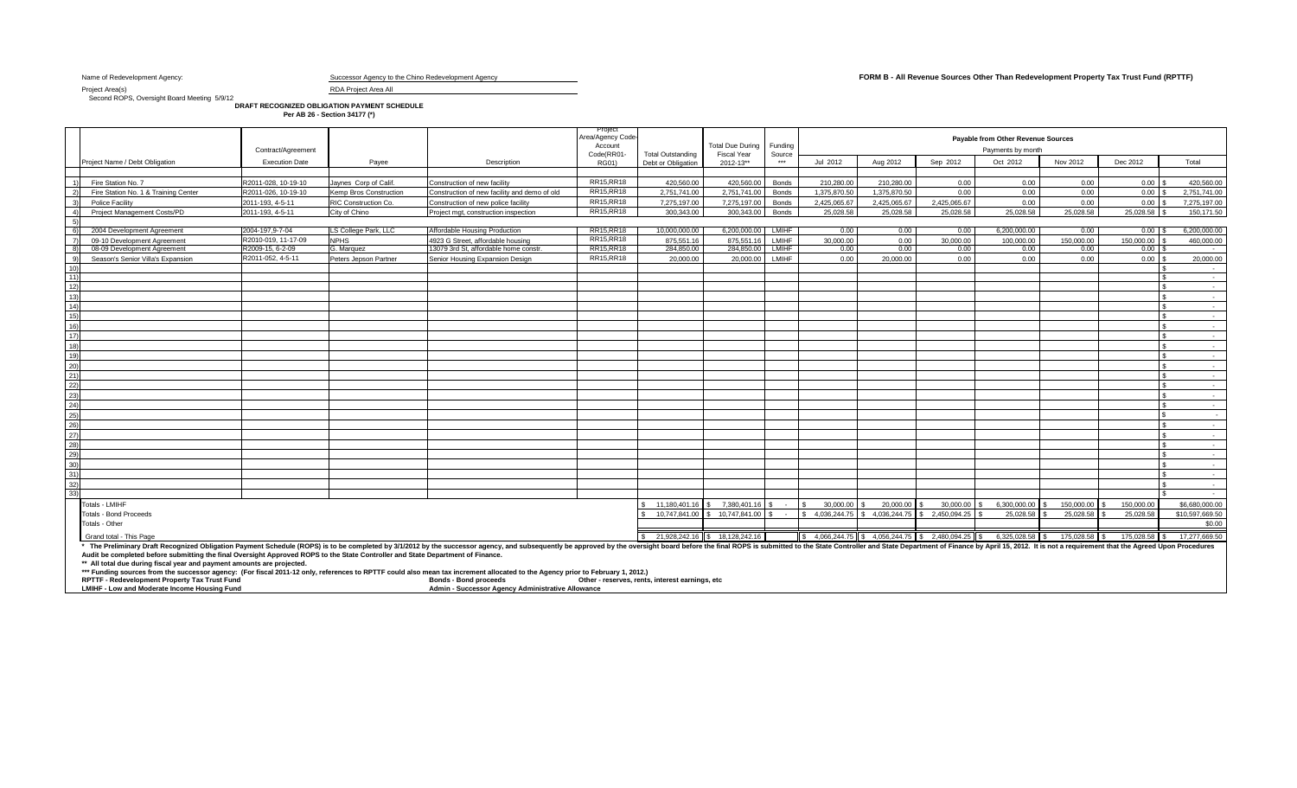Project Area(s) RDA Project Area All

Second ROPS, Oversight Board Meeting 5/9/12

**DRAFT RECOGNIZED OBLIGATION PAYMENT SCHEDULE Per AB 26 - Section 34177 (\*)**

|                       |                                                                                                                                                                                                                                                                                                                                                                   | Contract/Agreement    |                        |                                              | Project<br>Area/Agency Code<br>Account<br>Code(RR01- | <b>Total Outstanding</b>            | <b>Total Due During</b><br><b>Fiscal Year</b> | Funding<br>Source |                |              |                   | Payable from Other Revenue Sources<br>Payments by month |               |               |                 |
|-----------------------|-------------------------------------------------------------------------------------------------------------------------------------------------------------------------------------------------------------------------------------------------------------------------------------------------------------------------------------------------------------------|-----------------------|------------------------|----------------------------------------------|------------------------------------------------------|-------------------------------------|-----------------------------------------------|-------------------|----------------|--------------|-------------------|---------------------------------------------------------|---------------|---------------|-----------------|
|                       | Project Name / Debt Obligation                                                                                                                                                                                                                                                                                                                                    | <b>Execution Date</b> | Pavee                  | Description                                  | RG01)                                                | Debt or Obligation                  | 2012-13**                                     | $***$             | Jul 2012       | Aug 2012     | Sep 2012          | Oct 2012                                                | Nov 2012      | Dec 2012      | Total           |
|                       |                                                                                                                                                                                                                                                                                                                                                                   |                       |                        |                                              |                                                      |                                     |                                               |                   |                |              |                   |                                                         |               |               |                 |
|                       | Fire Station No. 7                                                                                                                                                                                                                                                                                                                                                | R2011-028, 10-19-10   | Javnes Corp of Calif   | Construction of new facility                 | <b>RR15, RR18</b>                                    | 420,560.00                          | 420,560.00                                    | Bonds             | 210.280.00     | 210.280.00   | 0.00              | 0.00                                                    | 0.00          | $0.00$ \$     | 420,560.00      |
| 2)                    | Fire Station No. 1 & Training Center                                                                                                                                                                                                                                                                                                                              | R2011-026, 10-19-10   | Kemp Bros Construction | Construction of new facility and demo of old | RR15, RR18                                           | 2.751.741.00                        | 2.751.741.00                                  | Bonds             | 1.375.870.50   | 1.375.870.50 | 0.00              | 0.00                                                    | 0.00          | $0.00$ \ \$   | 2,751,741.00    |
| 3)                    | Police Facility                                                                                                                                                                                                                                                                                                                                                   | 2011-193, 4-5-11      | RIC Construction Co.   | Construction of new police facility          | <b>RR15, RR18</b>                                    | 7.275.197.00                        | 7.275.197.00                                  | Bonds             | 2.425.065.67   | 2.425.065.67 | 2.425.065.67      | 0.00                                                    | 0.00          | $0.00$ \$     | 7,275,197.00    |
| $\Delta$              | Project Management Costs/PD                                                                                                                                                                                                                                                                                                                                       | 2011-193, 4-5-11      | City of Chino          | Project mgt, construction inspection         | RR15, RR18                                           | 300.343.00                          | 300.343.00                                    | Bonds             | 25,028.58      | 25,028.58    | 25.028.58         | 25,028.58                                               | 25,028.58     | 25,028.58 \$  | 150,171.50      |
|                       |                                                                                                                                                                                                                                                                                                                                                                   |                       |                        |                                              |                                                      |                                     |                                               |                   |                |              |                   |                                                         |               |               |                 |
| 6)                    | 2004 Development Agreement                                                                                                                                                                                                                                                                                                                                        | 2004-197,9-7-04       | LS College Park, LLC   | Affordable Housing Production                | RR15, RR18                                           | 10,000,000.00                       | 6,200,000.00                                  | <b>LMIHF</b>      | 0.00           | 0.00         | 0.00              | 6,200,000.00                                            | 0.00          | $0.00$ \;     | 6.200.000.00    |
| $\overline{7}$        | 09-10 Development Agreement                                                                                                                                                                                                                                                                                                                                       | R2010-019, 11-17-09   | <b>NPHS</b>            | 4923 G Street, affordable housing            | RR15, RR18                                           | 875.551.16                          | 875.551.16                                    | <b>LMIHF</b>      | 30,000,00      | 0.00         | 30.000.00         | 100.000.00                                              | 150.000.00    | 150.000.00    | 460,000.00      |
| 8)                    | 08-09 Development Agreement                                                                                                                                                                                                                                                                                                                                       | R2009-15, 6-2-09      | G. Marquez             | 13079 3rd St. affordable home constr         | RR15, RR18                                           | 284,850,00                          | 284,850,00                                    | <b>LMIHF</b>      | 0.00           | 0.00         | 0.00              | 0.00                                                    | 0.00          | $0.00$ \$     | $\sim$          |
| 9)                    | Season's Senior Villa's Expansion                                                                                                                                                                                                                                                                                                                                 | R2011-052, 4-5-11     | Peters Jepson Partner  | Senior Housing Expansion Design              | RR15, RR18                                           | 20,000,00                           | 20,000.00                                     | <b>LMIHF</b>      | 0.00           | 20,000,00    | 0.00              | 0.00                                                    | 0.00          |               | 20,000,00       |
| 10 <sub>h</sub><br>11 |                                                                                                                                                                                                                                                                                                                                                                   |                       |                        |                                              |                                                      |                                     |                                               |                   |                |              |                   |                                                         |               | -S.           | $\sim$          |
| 12)                   |                                                                                                                                                                                                                                                                                                                                                                   |                       |                        |                                              |                                                      |                                     |                                               |                   |                |              |                   |                                                         |               |               |                 |
| 12)                   |                                                                                                                                                                                                                                                                                                                                                                   |                       |                        |                                              |                                                      |                                     |                                               |                   |                |              |                   |                                                         |               |               |                 |
| (4)                   |                                                                                                                                                                                                                                                                                                                                                                   |                       |                        |                                              |                                                      |                                     |                                               |                   |                |              |                   |                                                         |               |               |                 |
| (5)                   |                                                                                                                                                                                                                                                                                                                                                                   |                       |                        |                                              |                                                      |                                     |                                               |                   |                |              |                   |                                                         |               |               | $\sim$          |
| 16)                   |                                                                                                                                                                                                                                                                                                                                                                   |                       |                        |                                              |                                                      |                                     |                                               |                   |                |              |                   |                                                         |               |               |                 |
| 17)                   |                                                                                                                                                                                                                                                                                                                                                                   |                       |                        |                                              |                                                      |                                     |                                               |                   |                |              |                   |                                                         |               |               | $\sim$          |
| 18                    |                                                                                                                                                                                                                                                                                                                                                                   |                       |                        |                                              |                                                      |                                     |                                               |                   |                |              |                   |                                                         |               |               | $\sim$          |
| 19)                   |                                                                                                                                                                                                                                                                                                                                                                   |                       |                        |                                              |                                                      |                                     |                                               |                   |                |              |                   |                                                         |               |               | $\sim$          |
| 201                   |                                                                                                                                                                                                                                                                                                                                                                   |                       |                        |                                              |                                                      |                                     |                                               |                   |                |              |                   |                                                         |               |               |                 |
|                       |                                                                                                                                                                                                                                                                                                                                                                   |                       |                        |                                              |                                                      |                                     |                                               |                   |                |              |                   |                                                         |               |               |                 |
| 22)                   |                                                                                                                                                                                                                                                                                                                                                                   |                       |                        |                                              |                                                      |                                     |                                               |                   |                |              |                   |                                                         |               |               | $\sim$          |
| 231                   |                                                                                                                                                                                                                                                                                                                                                                   |                       |                        |                                              |                                                      |                                     |                                               |                   |                |              |                   |                                                         |               |               | $\sim$          |
| 24)                   |                                                                                                                                                                                                                                                                                                                                                                   |                       |                        |                                              |                                                      |                                     |                                               |                   |                |              |                   |                                                         |               |               | $\sim$          |
| 251                   |                                                                                                                                                                                                                                                                                                                                                                   |                       |                        |                                              |                                                      |                                     |                                               |                   |                |              |                   |                                                         |               |               | - 1             |
| 261                   |                                                                                                                                                                                                                                                                                                                                                                   |                       |                        |                                              |                                                      |                                     |                                               |                   |                |              |                   |                                                         |               |               | $\sim$          |
| 27)                   |                                                                                                                                                                                                                                                                                                                                                                   |                       |                        |                                              |                                                      |                                     |                                               |                   |                |              |                   |                                                         |               |               |                 |
| 28)                   |                                                                                                                                                                                                                                                                                                                                                                   |                       |                        |                                              |                                                      |                                     |                                               |                   |                |              |                   |                                                         |               |               | $\sim$          |
| 29)                   |                                                                                                                                                                                                                                                                                                                                                                   |                       |                        |                                              |                                                      |                                     |                                               |                   |                |              |                   |                                                         |               |               | $\sim$          |
| 30)                   |                                                                                                                                                                                                                                                                                                                                                                   |                       |                        |                                              |                                                      |                                     |                                               |                   |                |              |                   |                                                         |               |               | $\sim$          |
|                       |                                                                                                                                                                                                                                                                                                                                                                   |                       |                        |                                              |                                                      |                                     |                                               |                   |                |              |                   |                                                         |               |               |                 |
| 32)                   |                                                                                                                                                                                                                                                                                                                                                                   |                       |                        |                                              |                                                      |                                     |                                               |                   |                |              |                   |                                                         |               |               | $\sim$ $-$      |
|                       |                                                                                                                                                                                                                                                                                                                                                                   |                       |                        |                                              |                                                      |                                     |                                               |                   |                |              |                   |                                                         |               |               | $\sim$          |
|                       | Totals - LMIHF                                                                                                                                                                                                                                                                                                                                                    |                       |                        |                                              |                                                      | 11.180.401.16                       | 7.380.401.16                                  |                   | 30,000,00      | 20,000,00    | 30,000,00         | 6.300.000.00                                            | 150,000,00    | 150,000,00    | \$6,680,000,00  |
|                       | <b>Totals - Bond Proceeds</b>                                                                                                                                                                                                                                                                                                                                     |                       |                        |                                              |                                                      | 10.747.841.00                       | \$10.747.841.00                               |                   | \$4.036,244.75 | 4.036.244.75 | 2.450.094.25<br>ፍ | 25.028.58                                               | 25.028.58     | 25.028.58     | \$10,597,669,50 |
|                       | Totals - Other                                                                                                                                                                                                                                                                                                                                                    |                       |                        |                                              |                                                      |                                     |                                               |                   |                |              |                   |                                                         |               |               | \$0.00          |
|                       |                                                                                                                                                                                                                                                                                                                                                                   |                       |                        |                                              |                                                      | $$21,928,242.16$ \ $$18,128,242.16$ |                                               |                   |                |              |                   |                                                         | 175,028.58 \$ |               |                 |
|                       | Grand total - This Page                                                                                                                                                                                                                                                                                                                                           |                       |                        |                                              |                                                      |                                     |                                               |                   |                |              |                   |                                                         |               | 175,028.58 \$ | 17,277,669.50   |
|                       | * The Preliminary Draft Recognized Obligation Payment Schedule (ROPS) is to be completed by 3/1/2012 by the successor agency, and subsequently be approved by the oversight board before the final ROPS is submitted to the St<br>Audit be completed before submitting the final Oversight Approved ROPS to the State Controller and State Department of Finance. |                       |                        |                                              |                                                      |                                     |                                               |                   |                |              |                   |                                                         |               |               |                 |
|                       | ** All total due during fiscal year and payment amounts are projected.<br>*** Funding sources from the successor agency: (For fiscal 2011-12 only, references to RPTTF could also mean tax increment allocated to the Agency prior to February 1, 2012.)                                                                                                          |                       |                        |                                              |                                                      |                                     |                                               |                   |                |              |                   |                                                         |               |               |                 |

**\*\* Funding sources from the successor agency: (FORPTTF - Redevelopment Property Tax Trust Fund LMHF - Low and Moderate Income Housing Fund** 

RPTTF - Redevelopment Property Tax Trust Fund the set of the server and the server of the serves of the serves of the serves of the serves of the serves of the serves of the serves of the serves of the server of the server

Name of Redevelopment Agency: **Successor Agency to the Chino Redevelopment Agency Successor Agency to the Chino Redevelopment Agency of the Chino Redevelopment Departy Tax Trust Fund (RPTTF)**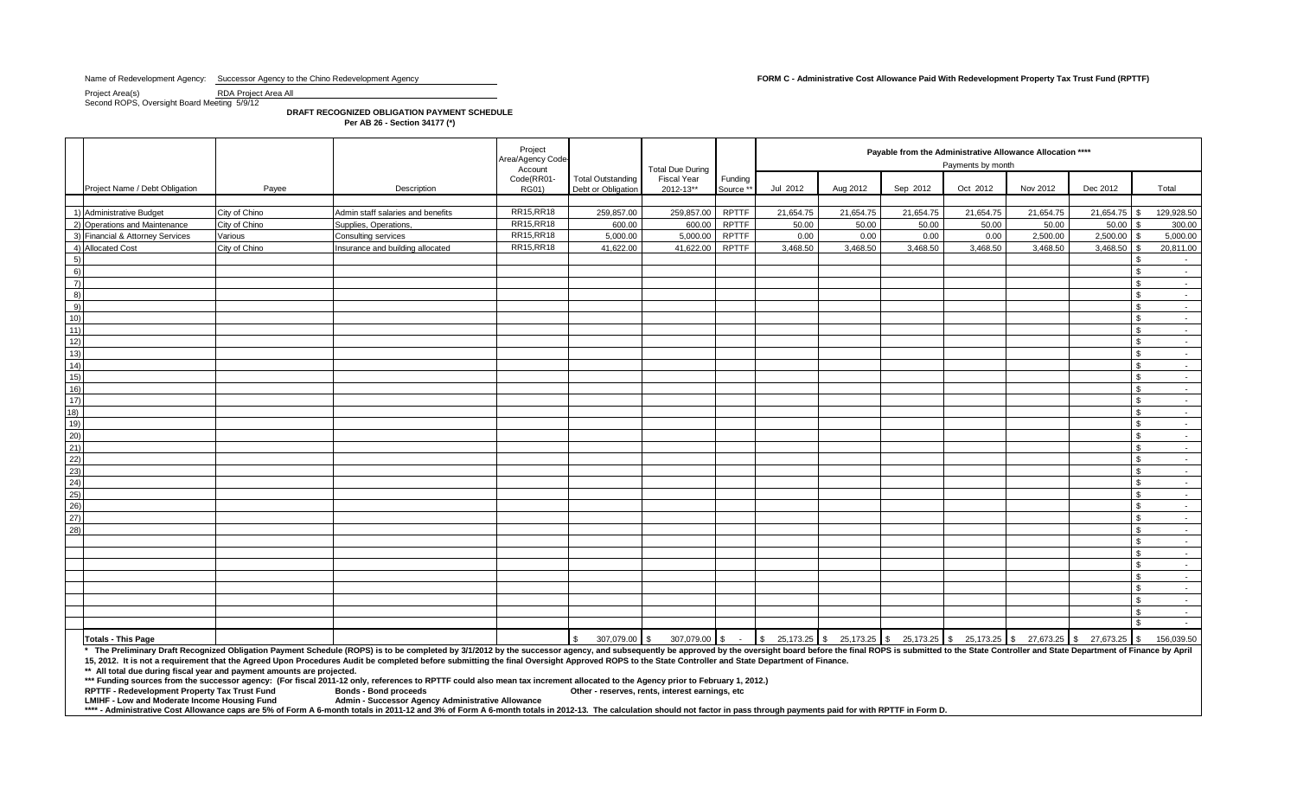### Name of Redevelopment Agency: Successor Agency to the Chino Redevelopment Agency **Form Containity Cost Allowance Paid With Redevelopment Property Tax Trust Fund (RPTTF)**

Project Area(s) RDA Project Area All Second ROPS, Oversight Board Meeting 5/9/12

**DRAFT RECOGNIZED OBLIGATION PAYMENT SCHEDULE Per AB 26 - Section 34177 (\*)**

|                |                                                                        |               | Project<br>Area/Agency Code<br>Account                                                                                                                                                                                                                                                                                                                                                                                                                                                                                                                       |                            | <b>Total Due During</b>                        |                                 | Payable from the Administrative Allowance Allocation ****<br>Payments by month |           |           |           |                                                                                                                                                               |           |           |                                    |  |  |  |
|----------------|------------------------------------------------------------------------|---------------|--------------------------------------------------------------------------------------------------------------------------------------------------------------------------------------------------------------------------------------------------------------------------------------------------------------------------------------------------------------------------------------------------------------------------------------------------------------------------------------------------------------------------------------------------------------|----------------------------|------------------------------------------------|---------------------------------|--------------------------------------------------------------------------------|-----------|-----------|-----------|---------------------------------------------------------------------------------------------------------------------------------------------------------------|-----------|-----------|------------------------------------|--|--|--|
|                | Project Name / Debt Obligation                                         | Payee         | Description                                                                                                                                                                                                                                                                                                                                                                                                                                                                                                                                                  | Code(RR01-<br><b>RG01)</b> | <b>Total Outstanding</b><br>Debt or Obligation | <b>Fiscal Year</b><br>2012-13** | Funding<br>Source **                                                           | Jul 2012  | Aug 2012  | Sep 2012  | Oct 2012                                                                                                                                                      | Nov 2012  | Dec 2012  | Total                              |  |  |  |
|                | 1) Administrative Budget                                               | City of Chino | Admin staff salaries and benefits                                                                                                                                                                                                                                                                                                                                                                                                                                                                                                                            | RR15, RR18                 | 259,857.00                                     | 259,857.00                      | <b>RPTTF</b>                                                                   | 21,654.75 | 21,654.75 | 21,654.75 | 21,654.75                                                                                                                                                     | 21,654.75 | 21,654.75 | 129,928.50                         |  |  |  |
|                | 2) Operations and Maintenance                                          | City of Chino | Supplies, Operations.                                                                                                                                                                                                                                                                                                                                                                                                                                                                                                                                        | RR15, RR18                 | 600.00                                         | 600.00                          | <b>RPTTF</b>                                                                   | 50.00     | 50.00     | 50.00     | 50.00                                                                                                                                                         | 50.00     | 50.00     | 300.00                             |  |  |  |
|                | 3) Financial & Attorney Services                                       | Various       | Consulting services                                                                                                                                                                                                                                                                                                                                                                                                                                                                                                                                          | RR15, RR18                 | 5,000.00                                       | 5,000.00                        | <b>RPTTF</b>                                                                   | 0.00      | 0.00      | 0.00      | 0.00                                                                                                                                                          | 2,500.00  | 2,500.00  | 5,000.00                           |  |  |  |
|                | 4) Allocated Cost                                                      | City of Chino | Insurance and building allocated                                                                                                                                                                                                                                                                                                                                                                                                                                                                                                                             | RR15, RR18                 | 41,622.00                                      | 41,622.00                       | RPTTF                                                                          | 3,468.50  | 3,468.50  | 3,468.50  | 3,468.50                                                                                                                                                      | 3,468.50  | 3,468.50  | 20,811.00<br>£.                    |  |  |  |
| 5)             |                                                                        |               |                                                                                                                                                                                                                                                                                                                                                                                                                                                                                                                                                              |                            |                                                |                                 |                                                                                |           |           |           |                                                                                                                                                               |           |           | $\sim$                             |  |  |  |
| 6)             |                                                                        |               |                                                                                                                                                                                                                                                                                                                                                                                                                                                                                                                                                              |                            |                                                |                                 |                                                                                |           |           |           |                                                                                                                                                               |           |           | $\mathbf{R}$<br>$\sim$             |  |  |  |
| $\overline{7}$ |                                                                        |               |                                                                                                                                                                                                                                                                                                                                                                                                                                                                                                                                                              |                            |                                                |                                 |                                                                                |           |           |           |                                                                                                                                                               |           |           | $\mathcal{S}$<br>$\sim 10$         |  |  |  |
| 8)             |                                                                        |               |                                                                                                                                                                                                                                                                                                                                                                                                                                                                                                                                                              |                            |                                                |                                 |                                                                                |           |           |           |                                                                                                                                                               |           |           | \$.<br>$\sim$ $-$                  |  |  |  |
| 9)             |                                                                        |               |                                                                                                                                                                                                                                                                                                                                                                                                                                                                                                                                                              |                            |                                                |                                 |                                                                                |           |           |           |                                                                                                                                                               |           |           | $\mathbf{R}$<br>$\sim 10^{-11}$    |  |  |  |
| 10)            |                                                                        |               |                                                                                                                                                                                                                                                                                                                                                                                                                                                                                                                                                              |                            |                                                |                                 |                                                                                |           |           |           |                                                                                                                                                               |           |           | $\mathfrak{L}$<br>$\sim$           |  |  |  |
| 11)            |                                                                        |               |                                                                                                                                                                                                                                                                                                                                                                                                                                                                                                                                                              |                            |                                                |                                 |                                                                                |           |           |           |                                                                                                                                                               |           |           | $\mathfrak{F}$<br>$\sim$ $-$       |  |  |  |
| 12)            |                                                                        |               |                                                                                                                                                                                                                                                                                                                                                                                                                                                                                                                                                              |                            |                                                |                                 |                                                                                |           |           |           |                                                                                                                                                               |           |           | $\sim$ 100 $\mu$                   |  |  |  |
| 13)            |                                                                        |               |                                                                                                                                                                                                                                                                                                                                                                                                                                                                                                                                                              |                            |                                                |                                 |                                                                                |           |           |           |                                                                                                                                                               |           |           | $\mathfrak{F}$<br>$\sim$           |  |  |  |
| 14)            |                                                                        |               |                                                                                                                                                                                                                                                                                                                                                                                                                                                                                                                                                              |                            |                                                |                                 |                                                                                |           |           |           |                                                                                                                                                               |           |           | \$<br>$\sim$ $-$                   |  |  |  |
| 15)            |                                                                        |               |                                                                                                                                                                                                                                                                                                                                                                                                                                                                                                                                                              |                            |                                                |                                 |                                                                                |           |           |           |                                                                                                                                                               |           |           | $\hat{\mathbf{r}}$<br>$\sim$       |  |  |  |
| 16)<br>17)     |                                                                        |               |                                                                                                                                                                                                                                                                                                                                                                                                                                                                                                                                                              |                            |                                                |                                 |                                                                                |           |           |           |                                                                                                                                                               |           |           | \$<br>$\sim$ $-$<br>$\mathcal{S}$  |  |  |  |
| 18)            |                                                                        |               |                                                                                                                                                                                                                                                                                                                                                                                                                                                                                                                                                              |                            |                                                |                                 |                                                                                |           |           |           |                                                                                                                                                               |           |           | $\sim$ $-$<br>$\mathfrak{L}$       |  |  |  |
| 19)            |                                                                        |               |                                                                                                                                                                                                                                                                                                                                                                                                                                                                                                                                                              |                            |                                                |                                 |                                                                                |           |           |           |                                                                                                                                                               |           |           | $\sim$<br>$\mathfrak{L}$           |  |  |  |
| 20)            |                                                                        |               |                                                                                                                                                                                                                                                                                                                                                                                                                                                                                                                                                              |                            |                                                |                                 |                                                                                |           |           |           |                                                                                                                                                               |           |           | $\sim$<br>$\mathfrak{F}$<br>$\sim$ |  |  |  |
| 21)            |                                                                        |               |                                                                                                                                                                                                                                                                                                                                                                                                                                                                                                                                                              |                            |                                                |                                 |                                                                                |           |           |           |                                                                                                                                                               |           |           | $\mathfrak{L}$<br>$\sim$           |  |  |  |
| 22)            |                                                                        |               |                                                                                                                                                                                                                                                                                                                                                                                                                                                                                                                                                              |                            |                                                |                                 |                                                                                |           |           |           |                                                                                                                                                               |           |           | $\mathbf{R}$<br>$\sim$ 100 $\mu$   |  |  |  |
| 23)            |                                                                        |               |                                                                                                                                                                                                                                                                                                                                                                                                                                                                                                                                                              |                            |                                                |                                 |                                                                                |           |           |           |                                                                                                                                                               |           |           | $\mathbf{s}$<br>$\sim$             |  |  |  |
| (24)           |                                                                        |               |                                                                                                                                                                                                                                                                                                                                                                                                                                                                                                                                                              |                            |                                                |                                 |                                                                                |           |           |           |                                                                                                                                                               |           |           | $\mathfrak{F}$<br>$\sim$           |  |  |  |
| 25)            |                                                                        |               |                                                                                                                                                                                                                                                                                                                                                                                                                                                                                                                                                              |                            |                                                |                                 |                                                                                |           |           |           |                                                                                                                                                               |           |           | \$<br>$\sim$ $-$                   |  |  |  |
| 26)            |                                                                        |               |                                                                                                                                                                                                                                                                                                                                                                                                                                                                                                                                                              |                            |                                                |                                 |                                                                                |           |           |           |                                                                                                                                                               |           |           | $\mathfrak{L}$<br>$\sim$           |  |  |  |
| 27)            |                                                                        |               |                                                                                                                                                                                                                                                                                                                                                                                                                                                                                                                                                              |                            |                                                |                                 |                                                                                |           |           |           |                                                                                                                                                               |           |           | $\mathbf{R}$<br>$\sim$ 100 $\mu$   |  |  |  |
| 28)            |                                                                        |               |                                                                                                                                                                                                                                                                                                                                                                                                                                                                                                                                                              |                            |                                                |                                 |                                                                                |           |           |           |                                                                                                                                                               |           |           | $\mathfrak{L}$<br>$\sim$           |  |  |  |
|                |                                                                        |               |                                                                                                                                                                                                                                                                                                                                                                                                                                                                                                                                                              |                            |                                                |                                 |                                                                                |           |           |           |                                                                                                                                                               |           |           | \$<br>$\sim$                       |  |  |  |
|                |                                                                        |               |                                                                                                                                                                                                                                                                                                                                                                                                                                                                                                                                                              |                            |                                                |                                 |                                                                                |           |           |           |                                                                                                                                                               |           |           | $\mathfrak{L}$<br>$\sim$           |  |  |  |
|                |                                                                        |               |                                                                                                                                                                                                                                                                                                                                                                                                                                                                                                                                                              |                            |                                                |                                 |                                                                                |           |           |           |                                                                                                                                                               |           |           | $\mathfrak{F}$<br>$\sim$ $-$       |  |  |  |
|                |                                                                        |               |                                                                                                                                                                                                                                                                                                                                                                                                                                                                                                                                                              |                            |                                                |                                 |                                                                                |           |           |           |                                                                                                                                                               |           |           | $\mathfrak{L}$<br>$\sim$           |  |  |  |
|                |                                                                        |               |                                                                                                                                                                                                                                                                                                                                                                                                                                                                                                                                                              |                            |                                                |                                 |                                                                                |           |           |           |                                                                                                                                                               |           |           | ፍ<br>$\sim$                        |  |  |  |
|                |                                                                        |               |                                                                                                                                                                                                                                                                                                                                                                                                                                                                                                                                                              |                            |                                                |                                 |                                                                                |           |           |           |                                                                                                                                                               |           |           | $\sim$                             |  |  |  |
|                |                                                                        |               |                                                                                                                                                                                                                                                                                                                                                                                                                                                                                                                                                              |                            |                                                |                                 |                                                                                |           |           |           |                                                                                                                                                               |           |           | $\mathfrak{L}$<br>$\sim$ $-$       |  |  |  |
|                |                                                                        |               |                                                                                                                                                                                                                                                                                                                                                                                                                                                                                                                                                              |                            |                                                |                                 |                                                                                |           |           |           |                                                                                                                                                               |           |           | $\mathbf{\hat{S}}$<br>$\sim 10$    |  |  |  |
|                | <b>Totals - This Page</b>                                              |               |                                                                                                                                                                                                                                                                                                                                                                                                                                                                                                                                                              |                            | $\mathfrak{S}$<br>307,079.00 \$                | 307,079.00 \$ -                 |                                                                                |           |           |           | $\frac{1}{3}$ 25,173.25 $\frac{1}{3}$ 25,173.25 $\frac{1}{3}$ 25,173.25 $\frac{1}{3}$ 25,173.25 $\frac{1}{3}$ 27,673.25 $\frac{1}{3}$ 27,673.25 $\frac{1}{3}$ |           |           | 156,039.50                         |  |  |  |
|                | ** All total due during fiscal year and payment amounts are projected. |               | * The Preliminary Draft Recognized Obligation Payment Schedule (ROPS) is to be completed by 3/1/2012 by the successor agency, and subsequently be approved by the oversight board before the final ROPS is submitted to the St<br>15, 2012. It is not a requirement that the Agreed Upon Procedures Audit be completed before submitting the final Oversight Approved ROPS to the State Controller and State Department of Finance.<br><u>. Alexander de la contrata de la contrata de la contrata de la contrata de la contrata de la contrata de la co</u> |                            |                                                |                                 |                                                                                |           |           |           |                                                                                                                                                               |           |           |                                    |  |  |  |

**\*\*\* Funding sources from the successor agency: (For fiscal 2011-12 only, references to RPTTF could also mean tax increment allocated to the Agency prior to February 1, 2012.)**

**RPTTF - Redevelopment Property Tax Trust Fund LMIHF - Low and Moderate Income Housing Fund** 

**Admin - Successor Agency Administrative Allowance** 

\*\*\*\* - Administrative Cost Allowance caps are 5% of Form A 6-month totals in 2011-12 and 3% of Form A 6-month totals in 2012-13. The calculation should not factor in pass through payments paid for with RPTTF in Form D.